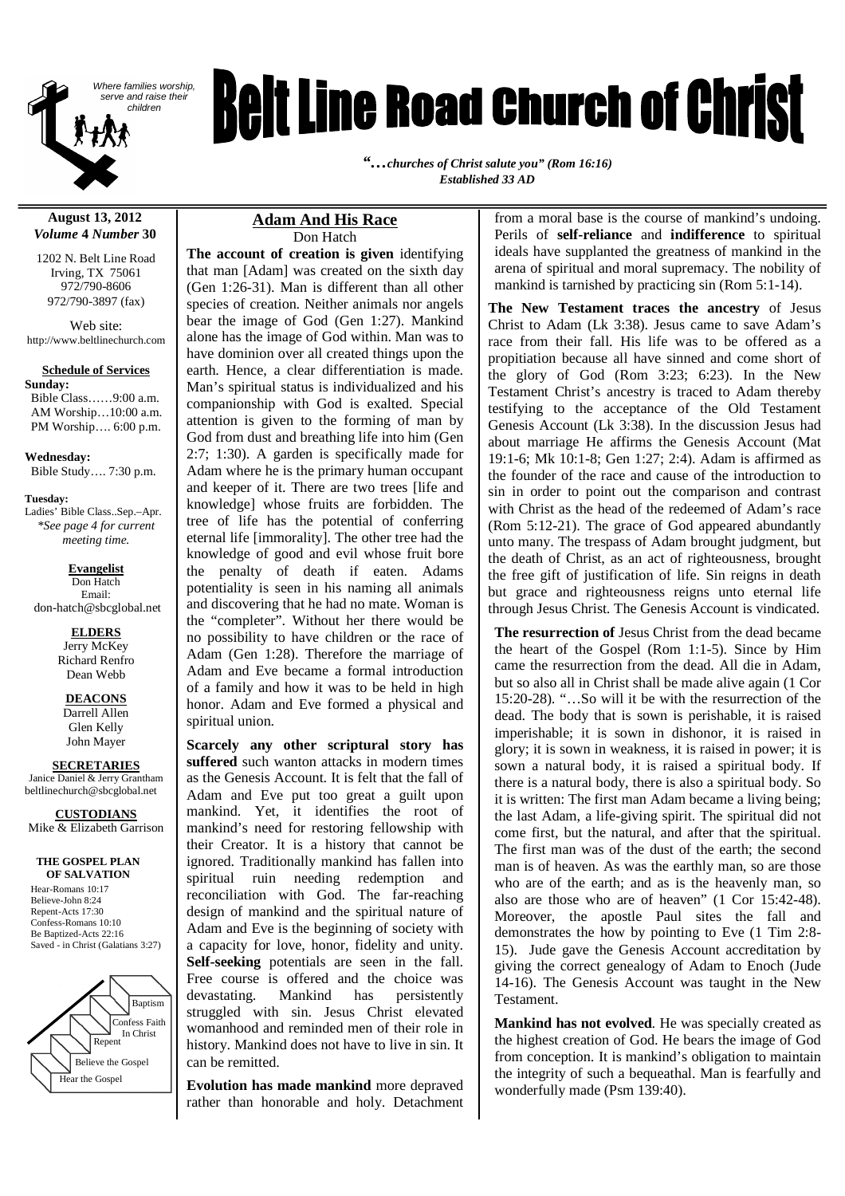

# **Relt Line Road Church of Christ**

*"…churches of Christ salute you" (Rom 16:16) Established 33 AD*

**August 13, 2012** *Volume* **4** *Number* **30**

1202 N. Belt Line Road Irving, TX 75061 972/790-8606 972/790-3897 (fax)

Web site: http://www.beltlinechurch.com

#### **Schedule of Services**

**Sunday:** Bible Class……9:00 a.m. AM Worship…10:00 a.m. PM Worship…. 6:00 p.m.

**Wednesday:** Bible Study…. 7:30 p.m.

**Tuesday:** Ladies' Bible Class..Sep.–Apr. *\*See page 4 for current meeting time.*

#### **Evangelist**

Don Hatch Email:

don-hatch@sbcglobal.net

**ELDERS** Jerry McKey Richard Renfro Dean Webb

**DEACONS** Darrell Allen Glen Kelly John Mayer

**SECRETARIES** Janice Daniel & Jerry Grantham

beltlinechurch@sbcglobal.net

**CUSTODIANS**

Mike & Elizabeth Garrison

#### **THE GOSPEL PLAN OF SALVATION**

Hear-Romans 10:17 Believe-John 8:24 Repent-Acts 17:30 Confess-Romans 10:10 Be Baptized-Acts 22:16 Saved - in Christ (Galatians 3:27)



#### **Adam And His Race** Don Hatch

**The account of creation is given** identifying that man [Adam] was created on the sixth day (Gen 1:26-31). Man is different than all other species of creation. Neither animals nor angels bear the image of God (Gen 1:27). Mankind alone has the image of God within. Man was to have dominion over all created things upon the earth. Hence, a clear differentiation is made. Man's spiritual status is individualized and his companionship with God is exalted. Special attention is given to the forming of man by God from dust and breathing life into him (Gen 2:7; 1:30). A garden is specifically made for Adam where he is the primary human occupant and keeper of it. There are two trees [life and knowledge] whose fruits are forbidden. The tree of life has the potential of conferring eternal life [immorality]. The other tree had the knowledge of good and evil whose fruit bore the penalty of death if eaten. Adams potentiality is seen in his naming all animals and discovering that he had no mate. Woman is the "completer". Without her there would be no possibility to have children or the race of Adam (Gen 1:28). Therefore the marriage of Adam and Eve became a formal introduction of a family and how it was to be held in high honor. Adam and Eve formed a physical and spiritual union.

**Scarcely any other scriptural story has suffered** such wanton attacks in modern times as the Genesis Account. It is felt that the fall of Adam and Eve put too great a guilt upon mankind. Yet, it identifies the root of mankind's need for restoring fellowship with their Creator. It is a history that cannot be ignored. Traditionally mankind has fallen into spiritual ruin needing redemption and reconciliation with God. The far-reaching design of mankind and the spiritual nature of Adam and Eve is the beginning of society with a capacity for love, honor, fidelity and unity. **Self-seeking** potentials are seen in the fall. Free course is offered and the choice was devastating. Mankind has persistently struggled with sin. Jesus Christ elevated womanhood and reminded men of their role in history. Mankind does not have to live in sin. It can be remitted.

**Evolution has made mankind** more depraved rather than honorable and holy. Detachment

from a moral base is the course of mankind's undoing. Perils of **self-reliance** and **indifference** to spiritual ideals have supplanted the greatness of mankind in the arena of spiritual and moral supremacy. The nobility of mankind is tarnished by practicing sin (Rom 5:1-14).

**The New Testament traces the ancestry** of Jesus Christ to Adam (Lk 3:38). Jesus came to save Adam's race from their fall. His life was to be offered as a propitiation because all have sinned and come short of the glory of God (Rom 3:23; 6:23). In the New Testament Christ's ancestry is traced to Adam thereby testifying to the acceptance of the Old Testament Genesis Account (Lk 3:38). In the discussion Jesus had about marriage He affirms the Genesis Account (Mat 19:1-6; Mk 10:1-8; Gen 1:27; 2:4). Adam is affirmed as the founder of the race and cause of the introduction to sin in order to point out the comparison and contrast with Christ as the head of the redeemed of Adam's race (Rom 5:12-21). The grace of God appeared abundantly unto many. The trespass of Adam brought judgment, but the death of Christ, as an act of righteousness, brought the free gift of justification of life. Sin reigns in death but grace and righteousness reigns unto eternal life through Jesus Christ. The Genesis Account is vindicated.

**The resurrection of** Jesus Christ from the dead became the heart of the Gospel (Rom 1:1-5). Since by Him came the resurrection from the dead. All die in Adam, but so also all in Christ shall be made alive again (1 Cor 15:20-28). "…So will it be with the resurrection of the dead. The body that is sown is perishable, it is raised imperishable; it is sown in dishonor, it is raised in glory; it is sown in weakness, it is raised in power; it is sown a natural body, it is raised a spiritual body. If there is a natural body, there is also a spiritual body. So it is written: The first man Adam became a living being; the last Adam, a life-giving spirit. The spiritual did not come first, but the natural, and after that the spiritual. The first man was of the dust of the earth; the second man is of heaven. As was the earthly man, so are those who are of the earth; and as is the heavenly man, so also are those who are of heaven" (1 Cor 15:42-48). Moreover, the apostle Paul sites the fall and demonstrates the how by pointing to Eve (1 Tim 2:8- 15). Jude gave the Genesis Account accreditation by giving the correct genealogy of Adam to Enoch (Jude 14-16). The Genesis Account was taught in the New Testament.

**Mankind has not evolved**. He was specially created as the highest creation of God. He bears the image of God from conception. It is mankind's obligation to maintain the integrity of such a bequeathal. Man is fearfully and wonderfully made (Psm 139:40).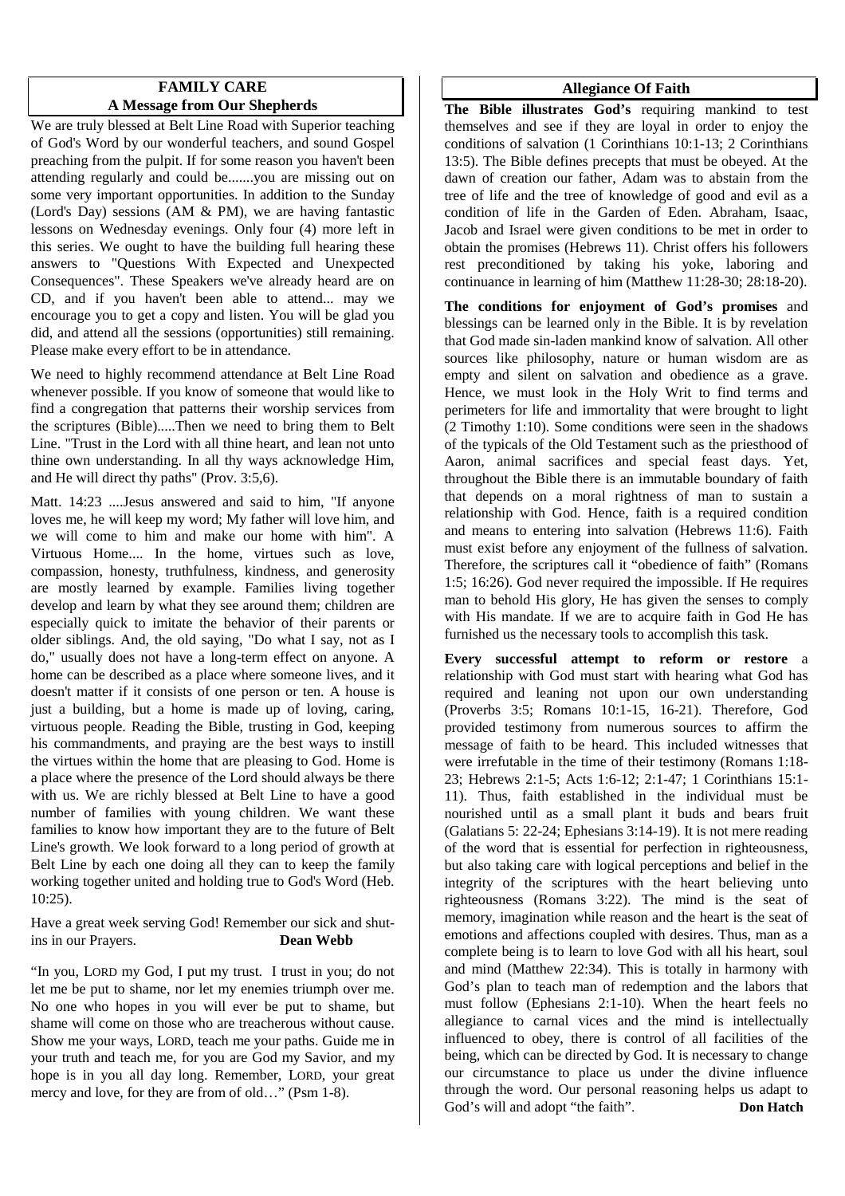#### **FAMILY CARE A Message from Our Shepherds**

We are truly blessed at Belt Line Road with Superior teaching of God's Word by our wonderful teachers, and sound Gospel preaching from the pulpit. If for some reason you haven't been attending regularly and could be.......you are missing out on some very important opportunities. In addition to the Sunday (Lord's Day) sessions (AM & PM), we are having fantastic lessons on Wednesday evenings. Only four (4) more left in this series. We ought to have the building full hearing these answers to "Questions With Expected and Unexpected Consequences". These Speakers we've already heard are on CD, and if you haven't been able to attend... may we encourage you to get a copy and listen. You will be glad you did, and attend all the sessions (opportunities) still remaining. Please make every effort to be in attendance.

We need to highly recommend attendance at Belt Line Road whenever possible. If you know of someone that would like to find a congregation that patterns their worship services from the scriptures (Bible).....Then we need to bring them to Belt Line. "Trust in the Lord with all thine heart, and lean not unto thine own understanding. In all thy ways acknowledge Him, and He will direct thy paths" (Prov. 3:5,6).

Matt. 14:23 ....Jesus answered and said to him, "If anyone loves me, he will keep my word; My father will love him, and we will come to him and make our home with him". A Virtuous Home.... In the home, virtues such as love, compassion, honesty, truthfulness, kindness, and generosity are mostly learned by example. Families living together develop and learn by what they see around them; children are especially quick to imitate the behavior of their parents or older siblings. And, the old saying, "Do what I say, not as I do," usually does not have a long-term effect on anyone. A home can be described as a place where someone lives, and it doesn't matter if it consists of one person or ten. A house is just a building, but a home is made up of loving, caring, virtuous people. Reading the Bible, trusting in God, keeping his commandments, and praying are the best ways to instill the virtues within the home that are pleasing to God. Home is a place where the presence of the Lord should always be there with us. We are richly blessed at Belt Line to have a good number of families with young children. We want these families to know how important they are to the future of Belt Line's growth. We look forward to a long period of growth at Belt Line by each one doing all they can to keep the family working together united and holding true to God's Word (Heb. 10:25).

Have a great week serving God! Remember our sick and shutins in our Prayers. **Dean Webb**

"In you, LORD my God, I put my trust. I trust in you; do not let me be put to shame, nor let my enemies triumph over me. No one who hopes in you will ever be put to shame, but shame will come on those who are treacherous without cause. Show me your ways, LORD, teach me your paths. Guide me in your truth and teach me, for you are God my Savior, and my hope is in you all day long. Remember, LORD, your great mercy and love, for they are from of old…" (Psm 1-8).

#### **Allegiance Of Faith**

**The Bible illustrates God's** requiring mankind to test themselves and see if they are loyal in order to enjoy the conditions of salvation (1 Corinthians 10:1-13; 2 Corinthians 13:5). The Bible defines precepts that must be obeyed. At the dawn of creation our father, Adam was to abstain from the tree of life and the tree of knowledge of good and evil as a condition of life in the Garden of Eden. Abraham, Isaac, Jacob and Israel were given conditions to be met in order to obtain the promises (Hebrews 11). Christ offers his followers rest preconditioned by taking his yoke, laboring and continuance in learning of him (Matthew 11:28-30; 28:18-20).

**The conditions for enjoyment of God's promises** and blessings can be learned only in the Bible. It is by revelation that God made sin-laden mankind know of salvation. All other sources like philosophy, nature or human wisdom are as empty and silent on salvation and obedience as a grave. Hence, we must look in the Holy Writ to find terms and perimeters for life and immortality that were brought to light (2 Timothy 1:10). Some conditions were seen in the shadows of the typicals of the Old Testament such as the priesthood of Aaron, animal sacrifices and special feast days. Yet, throughout the Bible there is an immutable boundary of faith that depends on a moral rightness of man to sustain a relationship with God. Hence, faith is a required condition and means to entering into salvation (Hebrews 11:6). Faith must exist before any enjoyment of the fullness of salvation. Therefore, the scriptures call it "obedience of faith" (Romans 1:5; 16:26). God never required the impossible. If He requires man to behold His glory, He has given the senses to comply with His mandate. If we are to acquire faith in God He has furnished us the necessary tools to accomplish this task.

**Every successful attempt to reform or restore** a relationship with God must start with hearing what God has required and leaning not upon our own understanding (Proverbs 3:5; Romans 10:1-15, 16-21). Therefore, God provided testimony from numerous sources to affirm the message of faith to be heard. This included witnesses that were irrefutable in the time of their testimony (Romans 1:18- 23; Hebrews 2:1-5; Acts 1:6-12; 2:1-47; 1 Corinthians 15:1- 11). Thus, faith established in the individual must be nourished until as a small plant it buds and bears fruit (Galatians 5: 22-24; Ephesians 3:14-19). It is not mere reading of the word that is essential for perfection in righteousness, but also taking care with logical perceptions and belief in the integrity of the scriptures with the heart believing unto righteousness (Romans 3:22). The mind is the seat of memory, imagination while reason and the heart is the seat of emotions and affections coupled with desires. Thus, man as a complete being is to learn to love God with all his heart, soul and mind (Matthew 22:34). This is totally in harmony with God's plan to teach man of redemption and the labors that must follow (Ephesians 2:1-10). When the heart feels no allegiance to carnal vices and the mind is intellectually influenced to obey, there is control of all facilities of the being, which can be directed by God. It is necessary to change our circumstance to place us under the divine influence through the word. Our personal reasoning helps us adapt to God's will and adopt "the faith". **Don Hatch**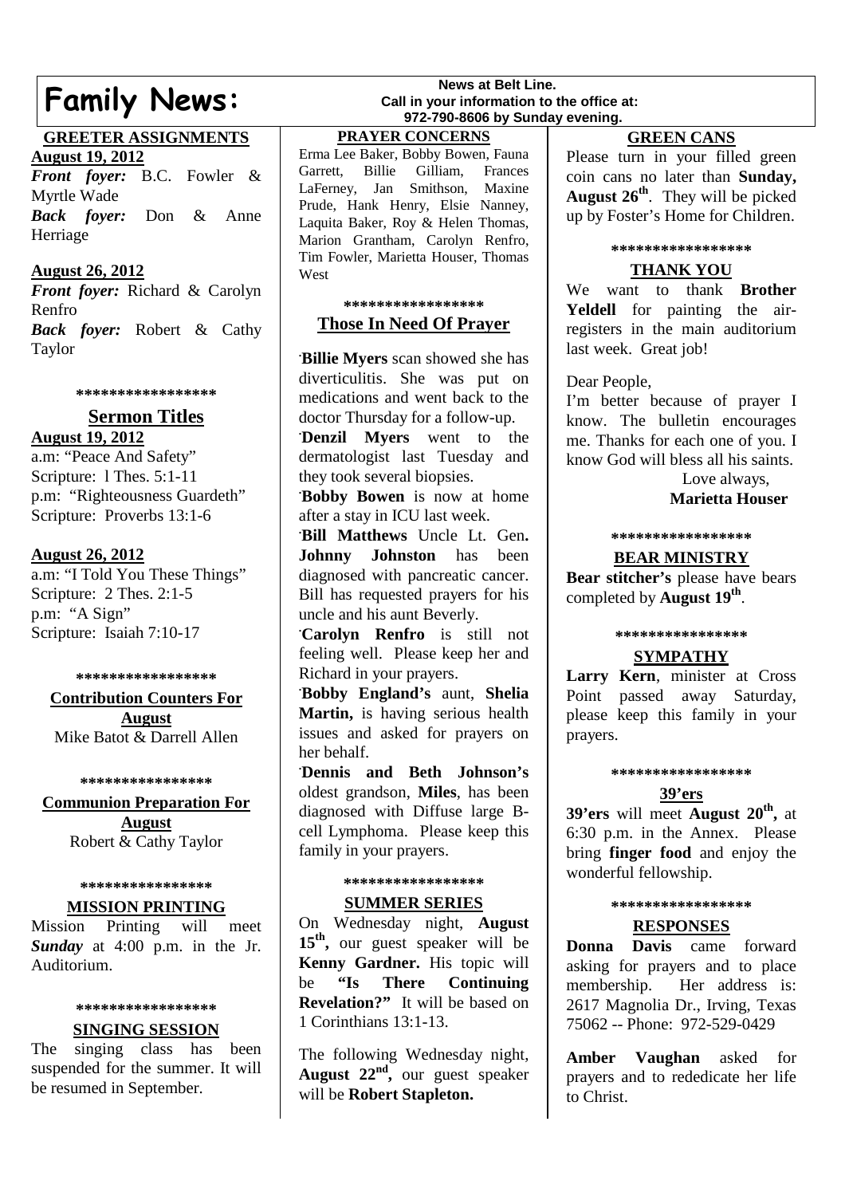# **Family News:**

#### **GREETER ASSIGNMENTS**

**August 19, 2012**

*Front foyer:* B.C. Fowler & Myrtle Wade *Back foyer:* Don & Anne Herriage

#### **August 26, 2012**

*Front foyer:* Richard & Carolyn Renfro *Back foyer:* Robert & Cathy Taylor

**\*\*\*\*\*\*\*\*\*\*\*\*\*\*\*\*\***

#### **Sermon Titles August 19, 2012**

a.m: "Peace And Safety" Scripture: l Thes. 5:1-11 p.m: "Righteousness Guardeth" Scripture: Proverbs 13:1-6

#### **August 26, 2012**

a.m: "I Told You These Things" Scripture: 2 Thes. 2:1-5 p.m: "A Sign" Scripture: Isaiah 7:10-17

#### **\*\*\*\*\*\*\*\*\*\*\*\*\*\*\*\*\***

**Contribution Counters For August** Mike Batot & Darrell Allen

#### **\*\*\*\*\*\*\*\*\*\*\*\*\*\*\*\***

**Communion Preparation For August** Robert & Cathy Taylor

#### **\*\*\*\*\*\*\*\*\*\*\*\*\*\*\*\***

#### **MISSION PRINTING**

Mission Printing will meet *Sunday* at 4:00 p.m. in the Jr. Auditorium.

#### **\*\*\*\*\*\*\*\*\*\*\*\*\*\*\*\*\***

#### **SINGING SESSION**

The singing class has been suspended for the summer. It will be resumed in September.

#### **News at Belt Line. Call in your information to the office at: 972-790-8606 by Sunday evening.**

**PRAYER CONCERNS**

Erma Lee Baker, Bobby Bowen, Fauna Garrett, Billie Gilliam, Frances LaFerney, Jan Smithson, Maxine Prude, Hank Henry, Elsie Nanney, Laquita Baker, Roy & Helen Thomas, Marion Grantham, Carolyn Renfro, Tim Fowler, Marietta Houser, Thomas West

#### **\*\*\*\*\*\*\*\*\*\*\*\*\*\*\*\*\***

#### **Those In Need Of Prayer**

**. Billie Myers** scan showed she has diverticulitis. She was put on medications and went back to the doctor Thursday for a follow-up.

**. Denzil Myers** went to the dermatologist last Tuesday and they took several biopsies.

**. Bobby Bowen** is now at home after a stay in ICU last week.

**. Bill Matthews** Uncle Lt. Gen**. Johnny Johnston** has been diagnosed with pancreatic cancer. Bill has requested prayers for his uncle and his aunt Beverly.

**. Carolyn Renfro** is still not feeling well. Please keep her and Richard in your prayers.

**. Bobby England's** aunt, **Shelia Martin,** is having serious health issues and asked for prayers on her behalf.

**. Dennis and Beth Johnson's** oldest grandson, **Miles**, has been diagnosed with Diffuse large Bcell Lymphoma. Please keep this family in your prayers.

#### **\*\*\*\*\*\*\*\*\*\*\*\*\*\*\*\*\***

#### **SUMMER SERIES**

On Wednesday night, **August** 15<sup>th</sup>, our guest speaker will be **Kenny Gardner.** His topic will be **"Is There Continuing Revelation?"** It will be based on 1 Corinthians 13:1-13.

The following Wednesday night, **August 22nd ,** our guest speaker will be **Robert Stapleton.**

#### **GREEN CANS**

Please turn in your filled green coin cans no later than **Sunday, August 26th** . They will be picked up by Foster's Home for Children.

#### **\*\*\*\*\*\*\*\*\*\*\*\*\*\*\*\*\***

#### **THANK YOU**

We want to thank **Brother Yeldell** for painting the airregisters in the main auditorium last week. Great job!

Dear People,

I'm better because of prayer I know. The bulletin encourages me. Thanks for each one of you. I know God will bless all his saints.

> Love always, **Marietta Houser**

#### **\*\*\*\*\*\*\*\*\*\*\*\*\*\*\*\*\***

#### **BEAR MINISTRY**

**Bear stitcher's** please have bears completed by **August 19th** .

#### **\*\*\*\*\*\*\*\*\*\*\*\*\*\*\*\***

#### **SYMPATHY**

**Larry Kern**, minister at Cross Point passed away Saturday, please keep this family in your prayers.

#### **\*\*\*\*\*\*\*\*\*\*\*\*\*\*\*\*\***

#### **39'ers**

**39'ers** will meet **August 20th ,** at 6:30 p.m. in the Annex. Please bring **finger food** and enjoy the wonderful fellowship.

#### **\*\*\*\*\*\*\*\*\*\*\*\*\*\*\*\*\***

#### **RESPONSES**

**Donna Davis** came forward asking for prayers and to place membership. Her address is: 2617 Magnolia Dr., Irving, Texas 75062 -- Phone: 972-529-0429

**Amber Vaughan** asked for prayers and to rededicate her life to Christ.